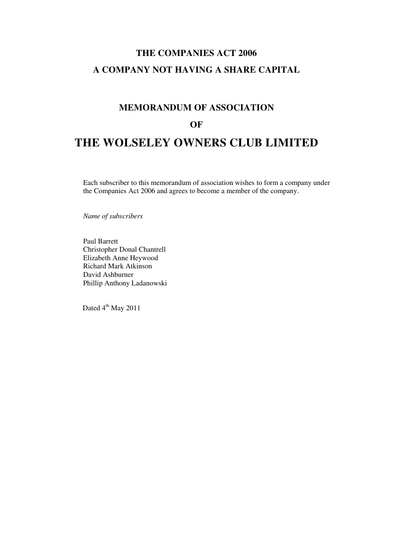# **THE COMPANIES ACT 2006 A COMPANY NOT HAVING A SHARE CAPITAL**

# **MEMORANDUM OF ASSOCIATION**

# **OF**

# **THE WOLSELEY OWNERS CLUB LIMITED**

Each subscriber to this memorandum of association wishes to form a company under the Companies Act 2006 and agrees to become a member of the company.

*Name of subscribers* 

Paul Barrett Christopher Donal Chantrell Elizabeth Anne Heywood Richard Mark Atkinson David Ashburner Phillip Anthony Ladanowski

Dated 4<sup>th</sup> May 2011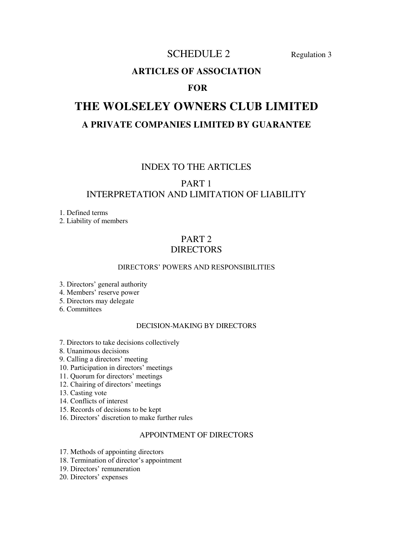# SCHEDULE 2 Regulation 3

# **ARTICLES OF ASSOCIATION**

# **FOR**

# **THE WOLSELEY OWNERS CLUB LIMITED A PRIVATE COMPANIES LIMITED BY GUARANTEE**

# INDEX TO THE ARTICLES

# PART 1

# INTERPRETATION AND LIMITATION OF LIABILITY

#### 1. Defined terms

2. Liability of members

# PART 2 **DIRECTORS**

### DIRECTORS' POWERS AND RESPONSIBILITIES

- 3. Directors' general authority
- 4. Members' reserve power
- 5. Directors may delegate
- 6. Committees

### DECISION-MAKING BY DIRECTORS

- 7. Directors to take decisions collectively
- 8. Unanimous decisions
- 9. Calling a directors' meeting
- 10. Participation in directors' meetings
- 11. Quorum for directors' meetings
- 12. Chairing of directors' meetings
- 13. Casting vote
- 14. Conflicts of interest
- 15. Records of decisions to be kept
- 16. Directors' discretion to make further rules

# APPOINTMENT OF DIRECTORS

- 17. Methods of appointing directors
- 18. Termination of director's appointment
- 19. Directors' remuneration
- 20. Directors' expenses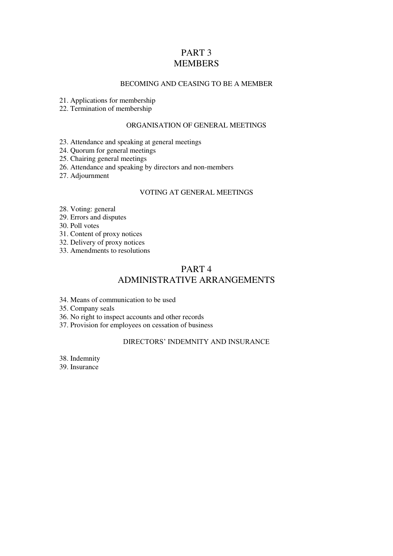# PART 3 **MEMBERS**

## BECOMING AND CEASING TO BE A MEMBER

- 21. Applications for membership
- 22. Termination of membership

### ORGANISATION OF GENERAL MEETINGS

- 23. Attendance and speaking at general meetings
- 24. Quorum for general meetings
- 25. Chairing general meetings
- 26. Attendance and speaking by directors and non-members
- 27. Adjournment

# VOTING AT GENERAL MEETINGS

- 28. Voting: general
- 29. Errors and disputes

30. Poll votes

- 31. Content of proxy notices
- 32. Delivery of proxy notices
- 33. Amendments to resolutions

# PART 4 ADMINISTRATIVE ARRANGEMENTS

34. Means of communication to be used

35. Company seals

- 36. No right to inspect accounts and other records
- 37. Provision for employees on cessation of business

# DIRECTORS' INDEMNITY AND INSURANCE

- 38. Indemnity
- 39. Insurance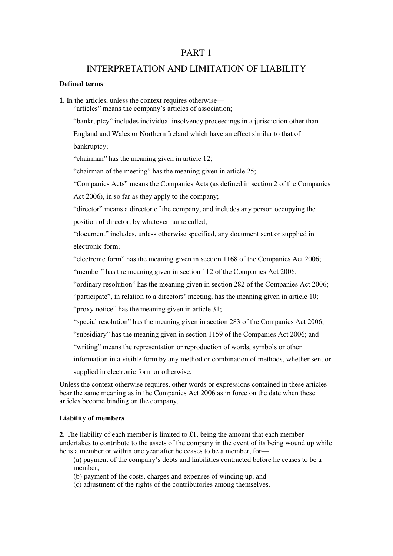# PART 1

# INTERPRETATION AND LIMITATION OF LIABILITY

### **Defined terms**

**1.** In the articles, unless the context requires otherwise—

"articles" means the company's articles of association;

"bankruptcy" includes individual insolvency proceedings in a jurisdiction other than

England and Wales or Northern Ireland which have an effect similar to that of

bankruptcy;

"chairman" has the meaning given in article 12;

"chairman of the meeting" has the meaning given in article 25;

"Companies Acts" means the Companies Acts (as defined in section 2 of the Companies

Act 2006), in so far as they apply to the company;

"director" means a director of the company, and includes any person occupying the position of director, by whatever name called;

"document" includes, unless otherwise specified, any document sent or supplied in electronic form;

"electronic form" has the meaning given in section 1168 of the Companies Act 2006;

"member" has the meaning given in section 112 of the Companies Act 2006;

"ordinary resolution" has the meaning given in section 282 of the Companies Act 2006;

"participate", in relation to a directors' meeting, has the meaning given in article 10;

"proxy notice" has the meaning given in article 31;

"special resolution" has the meaning given in section 283 of the Companies Act 2006;

"subsidiary" has the meaning given in section 1159 of the Companies Act 2006; and

"writing" means the representation or reproduction of words, symbols or other

information in a visible form by any method or combination of methods, whether sent or

supplied in electronic form or otherwise.

Unless the context otherwise requires, other words or expressions contained in these articles bear the same meaning as in the Companies Act 2006 as in force on the date when these articles become binding on the company.

### **Liability of members**

**2.** The liability of each member is limited to £1, being the amount that each member undertakes to contribute to the assets of the company in the event of its being wound up while he is a member or within one year after he ceases to be a member, for—

(a) payment of the company's debts and liabilities contracted before he ceases to be a member,

(b) payment of the costs, charges and expenses of winding up, and

(c) adjustment of the rights of the contributories among themselves.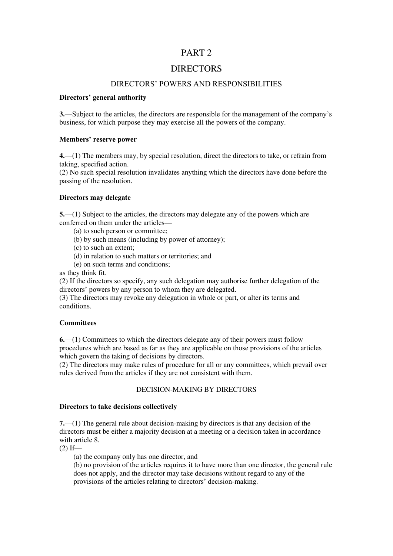# PART 2

# DIRECTORS

# DIRECTORS' POWERS AND RESPONSIBILITIES

#### **Directors' general authority**

**3.**—Subject to the articles, the directors are responsible for the management of the company's business, for which purpose they may exercise all the powers of the company.

### **Members' reserve power**

**4.**—(1) The members may, by special resolution, direct the directors to take, or refrain from taking, specified action.

(2) No such special resolution invalidates anything which the directors have done before the passing of the resolution.

#### **Directors may delegate**

**5.**—(1) Subject to the articles, the directors may delegate any of the powers which are conferred on them under the articles—

(a) to such person or committee;

(b) by such means (including by power of attorney);

- (c) to such an extent;
- (d) in relation to such matters or territories; and
- (e) on such terms and conditions;

as they think fit.

(2) If the directors so specify, any such delegation may authorise further delegation of the directors' powers by any person to whom they are delegated.

(3) The directors may revoke any delegation in whole or part, or alter its terms and conditions.

### **Committees**

**6.**—(1) Committees to which the directors delegate any of their powers must follow procedures which are based as far as they are applicable on those provisions of the articles which govern the taking of decisions by directors.

(2) The directors may make rules of procedure for all or any committees, which prevail over rules derived from the articles if they are not consistent with them.

#### DECISION-MAKING BY DIRECTORS

#### **Directors to take decisions collectively**

**7.**—(1) The general rule about decision-making by directors is that any decision of the directors must be either a majority decision at a meeting or a decision taken in accordance with article 8.

 $(2)$  If—

(a) the company only has one director, and

(b) no provision of the articles requires it to have more than one director, the general rule does not apply, and the director may take decisions without regard to any of the provisions of the articles relating to directors' decision-making.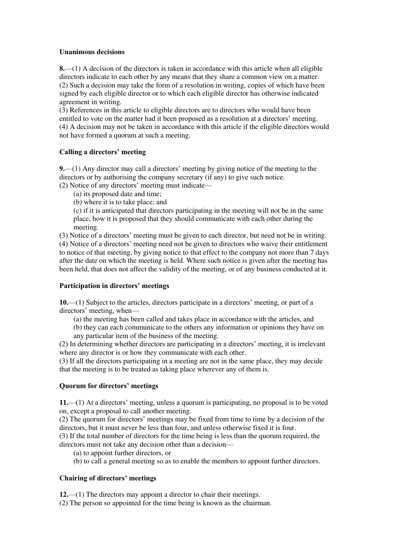### **Unanimous decisions**

**8.**—(1) A decision of the directors is taken in accordance with this article when all eligible directors indicate to each other by any means that they share a common view on a matter. (2) Such a decision may take the form of a resolution in writing, copies of which have been signed by each eligible director or to which each eligible director has otherwise indicated agreement in writing.

(3) References in this article to eligible directors are to directors who would have been entitled to vote on the matter had it been proposed as a resolution at a directors' meeting. (4) A decision may not be taken in accordance with this article if the eligible directors would not have formed a quorum at such a meeting.

# **Calling a directors' meeting**

**9.**—(1) Any director may call a directors' meeting by giving notice of the meeting to the directors or by authorising the company secretary (if any) to give such notice. (2) Notice of any directors' meeting must indicate—

(a) its proposed date and time;

(b) where it is to take place; and

(c) if it is anticipated that directors participating in the meeting will not be in the same place, how it is proposed that they should communicate with each other during the meeting.

(3) Notice of a directors' meeting must be given to each director, but need not be in writing.

(4) Notice of a directors' meeting need not be given to directors who waive their entitlement to notice of that meeting, by giving notice to that effect to the company not more than 7 days after the date on which the meeting is held. Where such notice is given after the meeting has been held, that does not affect the validity of the meeting, or of any business conducted at it.

# **Participation in directors' meetings**

**10.**—(1) Subject to the articles, directors participate in a directors' meeting, or part of a directors' meeting, when—

(a) the meeting has been called and takes place in accordance with the articles, and

(b) they can each communicate to the others any information or opinions they have on any particular item of the business of the meeting.

(2) In determining whether directors are participating in a directors' meeting, it is irrelevant where any director is or how they communicate with each other.

(3) If all the directors participating in a meeting are not in the same place, they may decide that the meeting is to be treated as taking place wherever any of them is.

# **Quorum for directors' meetings**

**11.**—(1) At a directors' meeting, unless a quorum is participating, no proposal is to be voted on, except a proposal to call another meeting.

(2) The quorum for directors' meetings may be fixed from time to time by a decision of the directors, but it must never be less than four, and unless otherwise fixed it is four.

(3) If the total number of directors for the time being is less than the quorum required, the directors must not take any decision other than a decision—

(a) to appoint further directors, or

(b) to call a general meeting so as to enable the members to appoint further directors.

# **Chairing of directors' meetings**

**12.**—(1) The directors may appoint a director to chair their meetings.

(2) The person so appointed for the time being is known as the chairman.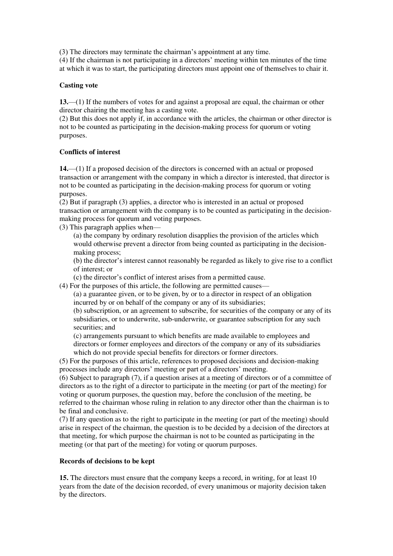(3) The directors may terminate the chairman's appointment at any time.

(4) If the chairman is not participating in a directors' meeting within ten minutes of the time at which it was to start, the participating directors must appoint one of themselves to chair it.

### **Casting vote**

**13.**—(1) If the numbers of votes for and against a proposal are equal, the chairman or other director chairing the meeting has a casting vote.

(2) But this does not apply if, in accordance with the articles, the chairman or other director is not to be counted as participating in the decision-making process for quorum or voting purposes.

## **Conflicts of interest**

**14.**—(1) If a proposed decision of the directors is concerned with an actual or proposed transaction or arrangement with the company in which a director is interested, that director is not to be counted as participating in the decision-making process for quorum or voting purposes.

(2) But if paragraph (3) applies, a director who is interested in an actual or proposed transaction or arrangement with the company is to be counted as participating in the decisionmaking process for quorum and voting purposes.

(3) This paragraph applies when—

(a) the company by ordinary resolution disapplies the provision of the articles which would otherwise prevent a director from being counted as participating in the decisionmaking process;

(b) the director's interest cannot reasonably be regarded as likely to give rise to a conflict of interest; or

(c) the director's conflict of interest arises from a permitted cause.

(4) For the purposes of this article, the following are permitted causes—

(a) a guarantee given, or to be given, by or to a director in respect of an obligation incurred by or on behalf of the company or any of its subsidiaries;

(b) subscription, or an agreement to subscribe, for securities of the company or any of its subsidiaries, or to underwrite, sub-underwrite, or guarantee subscription for any such securities; and

(c) arrangements pursuant to which benefits are made available to employees and directors or former employees and directors of the company or any of its subsidiaries which do not provide special benefits for directors or former directors.

(5) For the purposes of this article, references to proposed decisions and decision-making processes include any directors' meeting or part of a directors' meeting.

(6) Subject to paragraph (7), if a question arises at a meeting of directors or of a committee of directors as to the right of a director to participate in the meeting (or part of the meeting) for voting or quorum purposes, the question may, before the conclusion of the meeting, be referred to the chairman whose ruling in relation to any director other than the chairman is to be final and conclusive.

(7) If any question as to the right to participate in the meeting (or part of the meeting) should arise in respect of the chairman, the question is to be decided by a decision of the directors at that meeting, for which purpose the chairman is not to be counted as participating in the meeting (or that part of the meeting) for voting or quorum purposes.

### **Records of decisions to be kept**

**15.** The directors must ensure that the company keeps a record, in writing, for at least 10 years from the date of the decision recorded, of every unanimous or majority decision taken by the directors.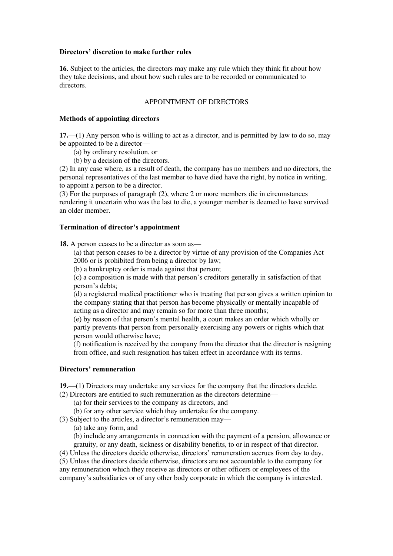#### **Directors' discretion to make further rules**

**16.** Subject to the articles, the directors may make any rule which they think fit about how they take decisions, and about how such rules are to be recorded or communicated to directors.

### APPOINTMENT OF DIRECTORS

#### **Methods of appointing directors**

**17.**—(1) Any person who is willing to act as a director, and is permitted by law to do so, may be appointed to be a director—

(a) by ordinary resolution, or

(b) by a decision of the directors.

(2) In any case where, as a result of death, the company has no members and no directors, the personal representatives of the last member to have died have the right, by notice in writing, to appoint a person to be a director.

(3) For the purposes of paragraph (2), where 2 or more members die in circumstances rendering it uncertain who was the last to die, a younger member is deemed to have survived an older member.

### **Termination of director's appointment**

**18.** A person ceases to be a director as soon as—

(a) that person ceases to be a director by virtue of any provision of the Companies Act 2006 or is prohibited from being a director by law;

(b) a bankruptcy order is made against that person;

(c) a composition is made with that person's creditors generally in satisfaction of that person's debts;

(d) a registered medical practitioner who is treating that person gives a written opinion to the company stating that that person has become physically or mentally incapable of acting as a director and may remain so for more than three months;

(e) by reason of that person's mental health, a court makes an order which wholly or partly prevents that person from personally exercising any powers or rights which that person would otherwise have;

(f) notification is received by the company from the director that the director is resigning from office, and such resignation has taken effect in accordance with its terms.

### **Directors' remuneration**

**19.**—(1) Directors may undertake any services for the company that the directors decide.

(2) Directors are entitled to such remuneration as the directors determine—

(a) for their services to the company as directors, and

(b) for any other service which they undertake for the company.

(3) Subject to the articles, a director's remuneration may—

(a) take any form, and

(b) include any arrangements in connection with the payment of a pension, allowance or gratuity, or any death, sickness or disability benefits, to or in respect of that director.

(4) Unless the directors decide otherwise, directors' remuneration accrues from day to day.

(5) Unless the directors decide otherwise, directors are not accountable to the company for any remuneration which they receive as directors or other officers or employees of the company's subsidiaries or of any other body corporate in which the company is interested.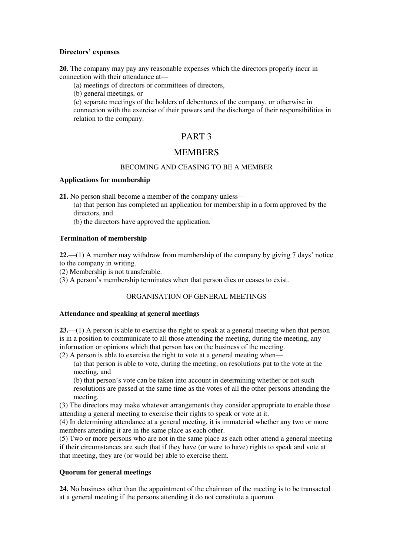### **Directors' expenses**

**20.** The company may pay any reasonable expenses which the directors properly incur in connection with their attendance at—

(a) meetings of directors or committees of directors,

(b) general meetings, or

(c) separate meetings of the holders of debentures of the company, or otherwise in connection with the exercise of their powers and the discharge of their responsibilities in relation to the company.

# PART 3

# **MEMBERS**

# BECOMING AND CEASING TO BE A MEMBER

## **Applications for membership**

**21.** No person shall become a member of the company unless—

(a) that person has completed an application for membership in a form approved by the directors, and

(b) the directors have approved the application.

## **Termination of membership**

**22.**—(1) A member may withdraw from membership of the company by giving 7 days' notice to the company in writing.

(2) Membership is not transferable.

(3) A person's membership terminates when that person dies or ceases to exist.

# ORGANISATION OF GENERAL MEETINGS

### **Attendance and speaking at general meetings**

**23.**—(1) A person is able to exercise the right to speak at a general meeting when that person is in a position to communicate to all those attending the meeting, during the meeting, any information or opinions which that person has on the business of the meeting.

(2) A person is able to exercise the right to vote at a general meeting when—

(a) that person is able to vote, during the meeting, on resolutions put to the vote at the meeting, and

(b) that person's vote can be taken into account in determining whether or not such resolutions are passed at the same time as the votes of all the other persons attending the meeting.

(3) The directors may make whatever arrangements they consider appropriate to enable those attending a general meeting to exercise their rights to speak or vote at it.

(4) In determining attendance at a general meeting, it is immaterial whether any two or more members attending it are in the same place as each other.

(5) Two or more persons who are not in the same place as each other attend a general meeting if their circumstances are such that if they have (or were to have) rights to speak and vote at that meeting, they are (or would be) able to exercise them.

# **Quorum for general meetings**

**24.** No business other than the appointment of the chairman of the meeting is to be transacted at a general meeting if the persons attending it do not constitute a quorum.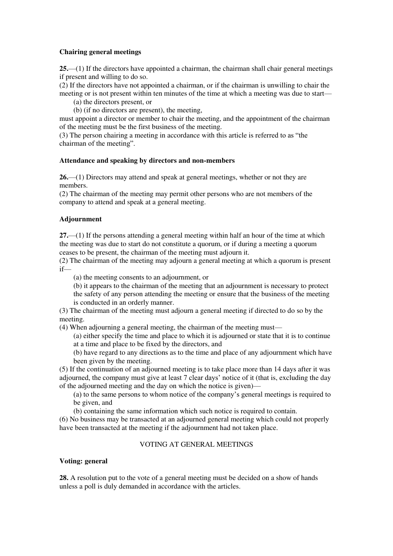#### **Chairing general meetings**

**25.**—(1) If the directors have appointed a chairman, the chairman shall chair general meetings if present and willing to do so.

(2) If the directors have not appointed a chairman, or if the chairman is unwilling to chair the meeting or is not present within ten minutes of the time at which a meeting was due to start—

(a) the directors present, or

(b) (if no directors are present), the meeting,

must appoint a director or member to chair the meeting, and the appointment of the chairman of the meeting must be the first business of the meeting.

(3) The person chairing a meeting in accordance with this article is referred to as "the chairman of the meeting".

#### **Attendance and speaking by directors and non-members**

**26.**—(1) Directors may attend and speak at general meetings, whether or not they are members.

(2) The chairman of the meeting may permit other persons who are not members of the company to attend and speak at a general meeting.

#### **Adjournment**

**27.**—(1) If the persons attending a general meeting within half an hour of the time at which the meeting was due to start do not constitute a quorum, or if during a meeting a quorum ceases to be present, the chairman of the meeting must adjourn it.

(2) The chairman of the meeting may adjourn a general meeting at which a quorum is present if—

(a) the meeting consents to an adjournment, or

(b) it appears to the chairman of the meeting that an adjournment is necessary to protect the safety of any person attending the meeting or ensure that the business of the meeting is conducted in an orderly manner.

(3) The chairman of the meeting must adjourn a general meeting if directed to do so by the meeting.

(4) When adjourning a general meeting, the chairman of the meeting must—

(a) either specify the time and place to which it is adjourned or state that it is to continue at a time and place to be fixed by the directors, and

(b) have regard to any directions as to the time and place of any adjournment which have been given by the meeting.

(5) If the continuation of an adjourned meeting is to take place more than 14 days after it was adjourned, the company must give at least 7 clear days' notice of it (that is, excluding the day of the adjourned meeting and the day on which the notice is given)—

(a) to the same persons to whom notice of the company's general meetings is required to be given, and

(b) containing the same information which such notice is required to contain.

(6) No business may be transacted at an adjourned general meeting which could not properly have been transacted at the meeting if the adjournment had not taken place.

# VOTING AT GENERAL MEETINGS

#### **Voting: general**

**28.** A resolution put to the vote of a general meeting must be decided on a show of hands unless a poll is duly demanded in accordance with the articles.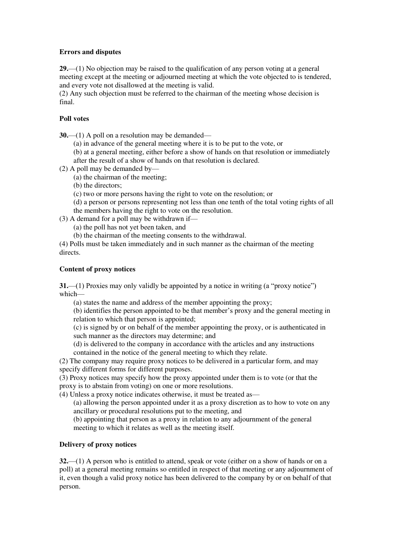### **Errors and disputes**

**29.**—(1) No objection may be raised to the qualification of any person voting at a general meeting except at the meeting or adjourned meeting at which the vote objected to is tendered, and every vote not disallowed at the meeting is valid.

(2) Any such objection must be referred to the chairman of the meeting whose decision is final.

### **Poll votes**

**30.**—(1) A poll on a resolution may be demanded—

(a) in advance of the general meeting where it is to be put to the vote, or

(b) at a general meeting, either before a show of hands on that resolution or immediately after the result of a show of hands on that resolution is declared.

- (2) A poll may be demanded by—
	- (a) the chairman of the meeting;

(b) the directors;

(c) two or more persons having the right to vote on the resolution; or

(d) a person or persons representing not less than one tenth of the total voting rights of all the members having the right to vote on the resolution.

(3) A demand for a poll may be withdrawn if—

(a) the poll has not yet been taken, and

(b) the chairman of the meeting consents to the withdrawal.

(4) Polls must be taken immediately and in such manner as the chairman of the meeting directs.

## **Content of proxy notices**

**31.**—(1) Proxies may only validly be appointed by a notice in writing (a "proxy notice") which—

(a) states the name and address of the member appointing the proxy;

(b) identifies the person appointed to be that member's proxy and the general meeting in relation to which that person is appointed;

(c) is signed by or on behalf of the member appointing the proxy, or is authenticated in such manner as the directors may determine; and

(d) is delivered to the company in accordance with the articles and any instructions contained in the notice of the general meeting to which they relate.

(2) The company may require proxy notices to be delivered in a particular form, and may specify different forms for different purposes.

(3) Proxy notices may specify how the proxy appointed under them is to vote (or that the proxy is to abstain from voting) on one or more resolutions.

(4) Unless a proxy notice indicates otherwise, it must be treated as—

(a) allowing the person appointed under it as a proxy discretion as to how to vote on any ancillary or procedural resolutions put to the meeting, and

(b) appointing that person as a proxy in relation to any adjournment of the general meeting to which it relates as well as the meeting itself.

## **Delivery of proxy notices**

**32.**—(1) A person who is entitled to attend, speak or vote (either on a show of hands or on a poll) at a general meeting remains so entitled in respect of that meeting or any adjournment of it, even though a valid proxy notice has been delivered to the company by or on behalf of that person.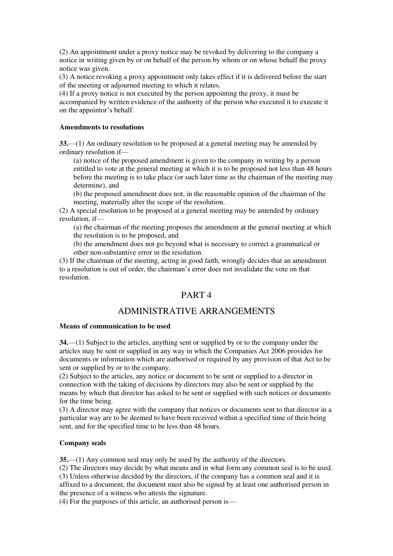(2) An appointment under a proxy notice may be revoked by delivering to the company a notice in writing given by or on behalf of the person by whom or on whose behalf the proxy notice was given.

(3) A notice revoking a proxy appointment only takes effect if it is delivered before the start of the meeting or adjourned meeting to which it relates.

(4) If a proxy notice is not executed by the person appointing the proxy, it must be accompanied by written evidence of the authority of the person who executed it to execute it on the appointor's behalf.

#### **Amendments to resolutions**

**33.**—(1) An ordinary resolution to be proposed at a general meeting may be amended by ordinary resolution if—

(a) notice of the proposed amendment is given to the company in writing by a person entitled to vote at the general meeting at which it is to be proposed not less than 48 hours before the meeting is to take place (or such later time as the chairman of the meeting may determine), and

(b) the proposed amendment does not, in the reasonable opinion of the chairman of the meeting, materially alter the scope of the resolution.

(2) A special resolution to be proposed at a general meeting may be amended by ordinary resolution, if—

(a) the chairman of the meeting proposes the amendment at the general meeting at which the resolution is to be proposed, and

(b) the amendment does not go beyond what is necessary to correct a grammatical or other non-substantive error in the resolution.

(3) If the chairman of the meeting, acting in good faith, wrongly decides that an amendment to a resolution is out of order, the chairman's error does not invalidate the vote on that resolution.

# PART 4

# ADMINISTRATIVE ARRANGEMENTS

#### **Means of communication to be used**

**34.**—(1) Subject to the articles, anything sent or supplied by or to the company under the articles may be sent or supplied in any way in which the Companies Act 2006 provides for documents or information which are authorised or required by any provision of that Act to be sent or supplied by or to the company.

(2) Subject to the articles, any notice or document to be sent or supplied to a director in connection with the taking of decisions by directors may also be sent or supplied by the means by which that director has asked to be sent or supplied with such notices or documents for the time being.

(3) A director may agree with the company that notices or documents sent to that director in a particular way are to be deemed to have been received within a specified time of their being sent, and for the specified time to be less than 48 hours.

#### **Company seals**

**35.**—(1) Any common seal may only be used by the authority of the directors.

(2) The directors may decide by what means and in what form any common seal is to be used. (3) Unless otherwise decided by the directors, if the company has a common seal and it is affixed to a document, the document must also be signed by at least one authorised person in the presence of a witness who attests the signature.

(4) For the purposes of this article, an authorised person is—